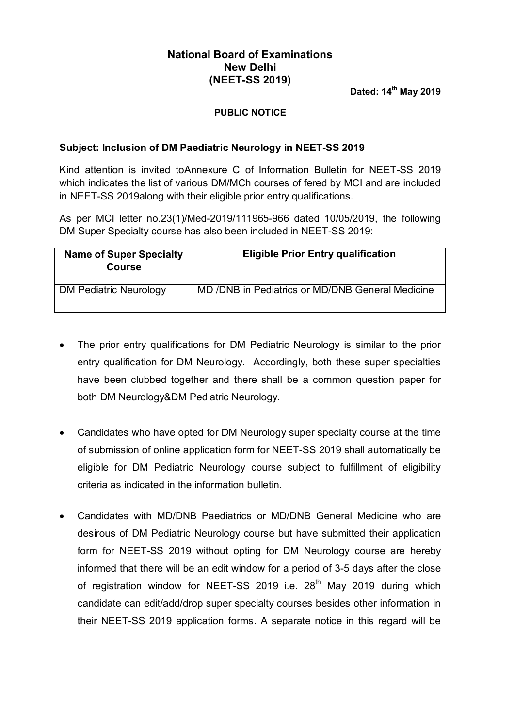## **National Board of Examinations New Delhi (NEET-SS 2019)**

 **Dated: 14th May 2019**

## **PUBLIC NOTICE**

## **Subject: Inclusion of DM Paediatric Neurology in NEET-SS 2019**

Kind attention is invited toAnnexure C of Information Bulletin for NEET-SS 2019 which indicates the list of various DM/MCh courses of fered by MCI and are included in NEET-SS 2019along with their eligible prior entry qualifications.

As per MCI letter no.23(1)/Med-2019/111965-966 dated 10/05/2019, the following DM Super Specialty course has also been included in NEET-SS 2019:

| <b>Name of Super Specialty</b><br><b>Course</b> | <b>Eligible Prior Entry qualification</b>        |
|-------------------------------------------------|--------------------------------------------------|
| <b>DM Pediatric Neurology</b>                   | MD /DNB in Pediatrics or MD/DNB General Medicine |

- The prior entry qualifications for DM Pediatric Neurology is similar to the prior entry qualification for DM Neurology. Accordingly, both these super specialties have been clubbed together and there shall be a common question paper for both DM Neurology&DM Pediatric Neurology.
- Candidates who have opted for DM Neurology super specialty course at the time of submission of online application form for NEET-SS 2019 shall automatically be eligible for DM Pediatric Neurology course subject to fulfillment of eligibility criteria as indicated in the information bulletin.
- Candidates with MD/DNB Paediatrics or MD/DNB General Medicine who are desirous of DM Pediatric Neurology course but have submitted their application form for NEET-SS 2019 without opting for DM Neurology course are hereby informed that there will be an edit window for a period of 3-5 days after the close of registration window for NEET-SS 2019 i.e. 28<sup>th</sup> May 2019 during which candidate can edit/add/drop super specialty courses besides other information in their NEET-SS 2019 application forms. A separate notice in this regard will be